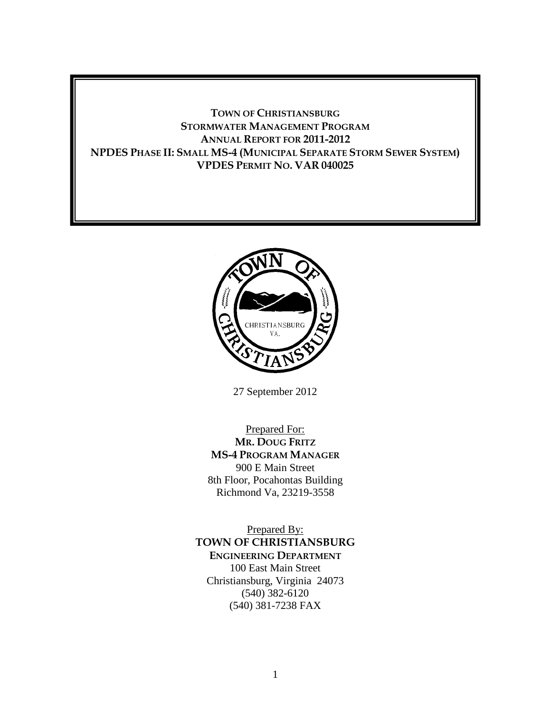### **TOWN OF CHRISTIANSBURG STORMWATER MANAGEMENT PROGRAM ANNUAL REPORT FOR 2011-2012 NPDES PHASE II: SMALL MS-4 (MUNICIPAL SEPARATE STORM SEWER SYSTEM) VPDES PERMIT NO. VAR 040025**



27 September 2012

Prepared For: **MR. DOUG FRITZ MS-4 PROGRAM MANAGER** 900 E Main Street 8th Floor, Pocahontas Building Richmond Va, 23219-3558

Prepared By: **TOWN OF CHRISTIANSBURG ENGINEERING DEPARTMENT** 100 East Main Street Christiansburg, Virginia 24073 (540) 382-6120 (540) 381-7238 FAX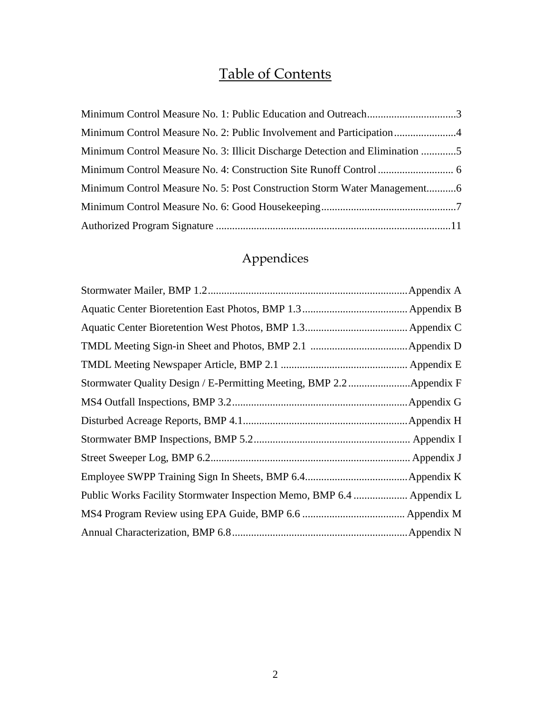# Table of Contents

| Minimum Control Measure No. 1: Public Education and Outreach3                |  |
|------------------------------------------------------------------------------|--|
|                                                                              |  |
| Minimum Control Measure No. 3: Illicit Discharge Detection and Elimination 5 |  |
|                                                                              |  |
| Minimum Control Measure No. 5: Post Construction Storm Water Management6     |  |
|                                                                              |  |
|                                                                              |  |

# Appendices

| Stormwater Quality Design / E-Permitting Meeting, BMP 2.2Appendix F   |  |
|-----------------------------------------------------------------------|--|
|                                                                       |  |
|                                                                       |  |
|                                                                       |  |
|                                                                       |  |
|                                                                       |  |
| Public Works Facility Stormwater Inspection Memo, BMP 6.4  Appendix L |  |
|                                                                       |  |
|                                                                       |  |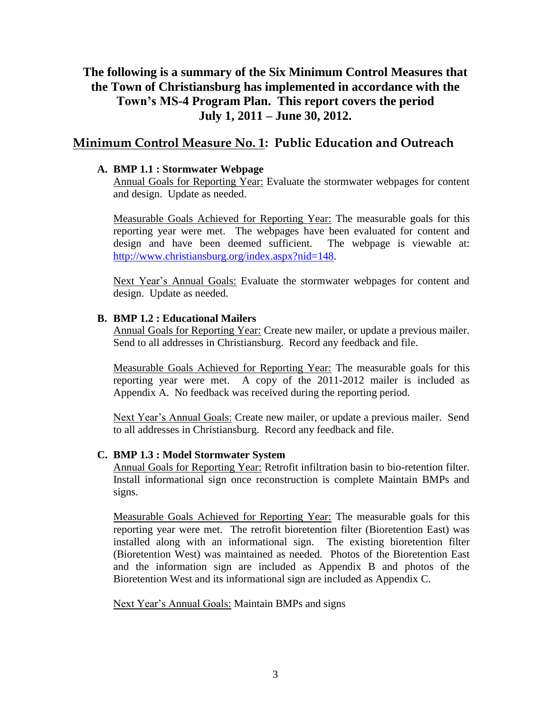# **The following is a summary of the Six Minimum Control Measures that the Town of Christiansburg has implemented in accordance with the Town's MS-4 Program Plan. This report covers the period July 1, 2011 – June 30, 2012.**

### **Minimum Control Measure No. 1: Public Education and Outreach**

### **A. BMP 1.1 : Stormwater Webpage**

Annual Goals for Reporting Year: Evaluate the stormwater webpages for content and design. Update as needed.

Measurable Goals Achieved for Reporting Year: The measurable goals for this reporting year were met. The webpages have been evaluated for content and design and have been deemed sufficient. The webpage is viewable at: [http://www.christiansburg.org/index.aspx?nid=148.](http://www.christiansburg.org/index.aspx?nid=148)

Next Year's Annual Goals: Evaluate the stormwater webpages for content and design. Update as needed.

### **B. BMP 1.2 : Educational Mailers**

Annual Goals for Reporting Year: Create new mailer, or update a previous mailer. Send to all addresses in Christiansburg. Record any feedback and file.

Measurable Goals Achieved for Reporting Year: The measurable goals for this reporting year were met. A copy of the 2011-2012 mailer is included as Appendix A. No feedback was received during the reporting period.

Next Year's Annual Goals: Create new mailer, or update a previous mailer. Send to all addresses in Christiansburg. Record any feedback and file.

### **C. BMP 1.3 : Model Stormwater System**

Annual Goals for Reporting Year: Retrofit infiltration basin to bio-retention filter. Install informational sign once reconstruction is complete Maintain BMPs and signs.

Measurable Goals Achieved for Reporting Year: The measurable goals for this reporting year were met. The retrofit bioretention filter (Bioretention East) was installed along with an informational sign. The existing bioretention filter (Bioretention West) was maintained as needed. Photos of the Bioretention East and the information sign are included as Appendix B and photos of the Bioretention West and its informational sign are included as Appendix C.

Next Year's Annual Goals: Maintain BMPs and signs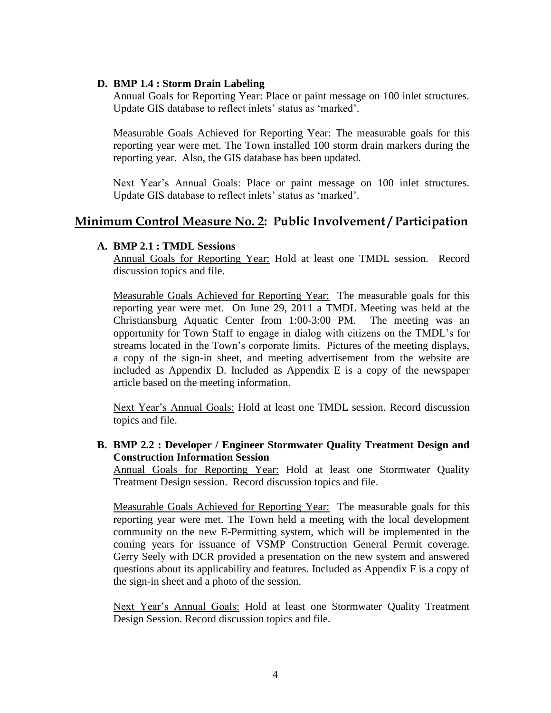### **D. BMP 1.4 : Storm Drain Labeling**

Annual Goals for Reporting Year: Place or paint message on 100 inlet structures. Update GIS database to reflect inlets' status as 'marked'.

Measurable Goals Achieved for Reporting Year: The measurable goals for this reporting year were met. The Town installed 100 storm drain markers during the reporting year. Also, the GIS database has been updated.

Next Year's Annual Goals: Place or paint message on 100 inlet structures. Update GIS database to reflect inlets' status as 'marked'.

### **Minimum Control Measure No. 2: Public Involvement / Participation**

#### **A. BMP 2.1 : TMDL Sessions**

Annual Goals for Reporting Year: Hold at least one TMDL session. Record discussion topics and file.

Measurable Goals Achieved for Reporting Year: The measurable goals for this reporting year were met. On June 29, 2011 a TMDL Meeting was held at the Christiansburg Aquatic Center from 1:00-3:00 PM. The meeting was an opportunity for Town Staff to engage in dialog with citizens on the TMDL's for streams located in the Town's corporate limits. Pictures of the meeting displays, a copy of the sign-in sheet, and meeting advertisement from the website are included as Appendix D. Included as Appendix E is a copy of the newspaper article based on the meeting information.

Next Year's Annual Goals: Hold at least one TMDL session. Record discussion topics and file.

**B. BMP 2.2 : Developer / Engineer Stormwater Quality Treatment Design and Construction Information Session**

Annual Goals for Reporting Year: Hold at least one Stormwater Quality Treatment Design session. Record discussion topics and file.

Measurable Goals Achieved for Reporting Year: The measurable goals for this reporting year were met. The Town held a meeting with the local development community on the new E-Permitting system, which will be implemented in the coming years for issuance of VSMP Construction General Permit coverage. Gerry Seely with DCR provided a presentation on the new system and answered questions about its applicability and features. Included as Appendix F is a copy of the sign-in sheet and a photo of the session.

Next Year's Annual Goals: Hold at least one Stormwater Quality Treatment Design Session. Record discussion topics and file.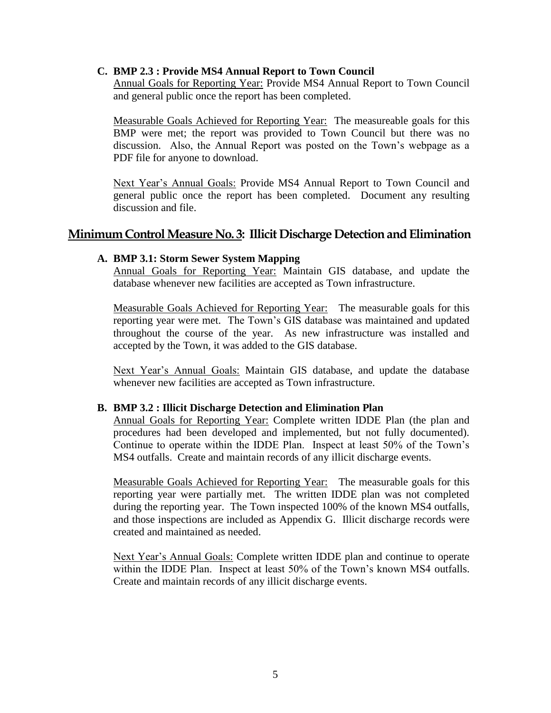#### **C. BMP 2.3 : Provide MS4 Annual Report to Town Council**

Annual Goals for Reporting Year: Provide MS4 Annual Report to Town Council and general public once the report has been completed.

Measurable Goals Achieved for Reporting Year: The measureable goals for this BMP were met; the report was provided to Town Council but there was no discussion. Also, the Annual Report was posted on the Town's webpage as a PDF file for anyone to download.

Next Year's Annual Goals: Provide MS4 Annual Report to Town Council and general public once the report has been completed. Document any resulting discussion and file.

### **Minimum Control Measure No. 3: Illicit Discharge Detection and Elimination**

#### **A. BMP 3.1: Storm Sewer System Mapping**

Annual Goals for Reporting Year: Maintain GIS database, and update the database whenever new facilities are accepted as Town infrastructure.

Measurable Goals Achieved for Reporting Year: The measurable goals for this reporting year were met. The Town's GIS database was maintained and updated throughout the course of the year. As new infrastructure was installed and accepted by the Town, it was added to the GIS database.

Next Year's Annual Goals: Maintain GIS database, and update the database whenever new facilities are accepted as Town infrastructure.

#### **B. BMP 3.2 : Illicit Discharge Detection and Elimination Plan**

Annual Goals for Reporting Year: Complete written IDDE Plan (the plan and procedures had been developed and implemented, but not fully documented). Continue to operate within the IDDE Plan. Inspect at least 50% of the Town's MS4 outfalls. Create and maintain records of any illicit discharge events.

Measurable Goals Achieved for Reporting Year: The measurable goals for this reporting year were partially met. The written IDDE plan was not completed during the reporting year. The Town inspected 100% of the known MS4 outfalls, and those inspections are included as Appendix G. Illicit discharge records were created and maintained as needed.

Next Year's Annual Goals: Complete written IDDE plan and continue to operate within the IDDE Plan. Inspect at least 50% of the Town's known MS4 outfalls. Create and maintain records of any illicit discharge events.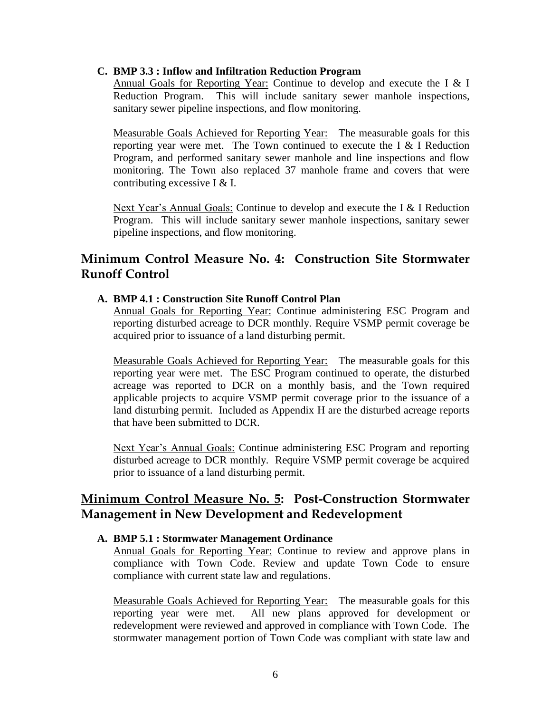### **C. BMP 3.3 : Inflow and Infiltration Reduction Program**

Annual Goals for Reporting Year: Continue to develop and execute the I & I Reduction Program. This will include sanitary sewer manhole inspections, sanitary sewer pipeline inspections, and flow monitoring.

Measurable Goals Achieved for Reporting Year: The measurable goals for this reporting year were met. The Town continued to execute the I  $&$  I Reduction Program, and performed sanitary sewer manhole and line inspections and flow monitoring. The Town also replaced 37 manhole frame and covers that were contributing excessive I & I.

Next Year's Annual Goals: Continue to develop and execute the I & I Reduction Program. This will include sanitary sewer manhole inspections, sanitary sewer pipeline inspections, and flow monitoring.

## **Minimum Control Measure No. 4: Construction Site Stormwater Runoff Control**

### **A. BMP 4.1 : Construction Site Runoff Control Plan**

Annual Goals for Reporting Year: Continue administering ESC Program and reporting disturbed acreage to DCR monthly. Require VSMP permit coverage be acquired prior to issuance of a land disturbing permit.

Measurable Goals Achieved for Reporting Year: The measurable goals for this reporting year were met. The ESC Program continued to operate, the disturbed acreage was reported to DCR on a monthly basis, and the Town required applicable projects to acquire VSMP permit coverage prior to the issuance of a land disturbing permit. Included as Appendix H are the disturbed acreage reports that have been submitted to DCR.

Next Year's Annual Goals: Continue administering ESC Program and reporting disturbed acreage to DCR monthly. Require VSMP permit coverage be acquired prior to issuance of a land disturbing permit.

## **Minimum Control Measure No. 5: Post-Construction Stormwater Management in New Development and Redevelopment**

### **A. BMP 5.1 : Stormwater Management Ordinance**

Annual Goals for Reporting Year: Continue to review and approve plans in compliance with Town Code. Review and update Town Code to ensure compliance with current state law and regulations.

Measurable Goals Achieved for Reporting Year: The measurable goals for this reporting year were met. All new plans approved for development or redevelopment were reviewed and approved in compliance with Town Code. The stormwater management portion of Town Code was compliant with state law and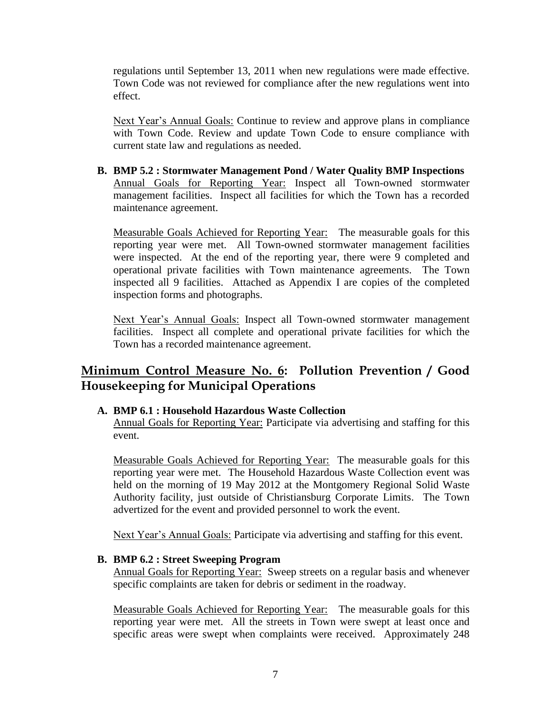regulations until September 13, 2011 when new regulations were made effective. Town Code was not reviewed for compliance after the new regulations went into effect.

Next Year's Annual Goals: Continue to review and approve plans in compliance with Town Code. Review and update Town Code to ensure compliance with current state law and regulations as needed.

**B. BMP 5.2 : Stormwater Management Pond / Water Quality BMP Inspections** Annual Goals for Reporting Year: Inspect all Town-owned stormwater management facilities. Inspect all facilities for which the Town has a recorded maintenance agreement.

Measurable Goals Achieved for Reporting Year: The measurable goals for this reporting year were met. All Town-owned stormwater management facilities were inspected. At the end of the reporting year, there were 9 completed and operational private facilities with Town maintenance agreements. The Town inspected all 9 facilities. Attached as Appendix I are copies of the completed inspection forms and photographs.

Next Year's Annual Goals: Inspect all Town-owned stormwater management facilities. Inspect all complete and operational private facilities for which the Town has a recorded maintenance agreement.

# **Minimum Control Measure No. 6: Pollution Prevention / Good Housekeeping for Municipal Operations**

### **A. BMP 6.1 : Household Hazardous Waste Collection**

Annual Goals for Reporting Year: Participate via advertising and staffing for this event.

Measurable Goals Achieved for Reporting Year: The measurable goals for this reporting year were met. The Household Hazardous Waste Collection event was held on the morning of 19 May 2012 at the Montgomery Regional Solid Waste Authority facility, just outside of Christiansburg Corporate Limits. The Town advertized for the event and provided personnel to work the event.

Next Year's Annual Goals: Participate via advertising and staffing for this event.

### **B. BMP 6.2 : Street Sweeping Program**

Annual Goals for Reporting Year: Sweep streets on a regular basis and whenever specific complaints are taken for debris or sediment in the roadway.

Measurable Goals Achieved for Reporting Year: The measurable goals for this reporting year were met. All the streets in Town were swept at least once and specific areas were swept when complaints were received. Approximately 248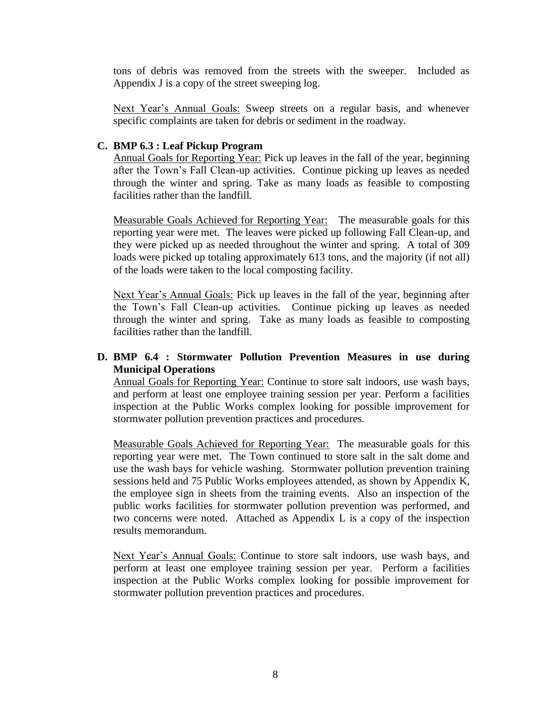tons of debris was removed from the streets with the sweeper. Included as Appendix J is a copy of the street sweeping log.

Next Year's Annual Goals: Sweep streets on a regular basis, and whenever specific complaints are taken for debris or sediment in the roadway.

### **C. BMP 6.3 : Leaf Pickup Program**

Annual Goals for Reporting Year: Pick up leaves in the fall of the year, beginning after the Town's Fall Clean-up activities. Continue picking up leaves as needed through the winter and spring. Take as many loads as feasible to composting facilities rather than the landfill.

Measurable Goals Achieved for Reporting Year: The measurable goals for this reporting year were met. The leaves were picked up following Fall Clean-up, and they were picked up as needed throughout the winter and spring. A total of 309 loads were picked up totaling approximately 613 tons, and the majority (if not all) of the loads were taken to the local composting facility.

Next Year's Annual Goals: Pick up leaves in the fall of the year, beginning after the Town's Fall Clean-up activities. Continue picking up leaves as needed through the winter and spring. Take as many loads as feasible to composting facilities rather than the landfill.

### **D. BMP 6.4 : Stormwater Pollution Prevention Measures in use during Municipal Operations**

Annual Goals for Reporting Year: Continue to store salt indoors, use wash bays, and perform at least one employee training session per year. Perform a facilities inspection at the Public Works complex looking for possible improvement for stormwater pollution prevention practices and procedures.

Measurable Goals Achieved for Reporting Year: The measurable goals for this reporting year were met. The Town continued to store salt in the salt dome and use the wash bays for vehicle washing. Stormwater pollution prevention training sessions held and 75 Public Works employees attended, as shown by Appendix K, the employee sign in sheets from the training events. Also an inspection of the public works facilities for stormwater pollution prevention was performed, and two concerns were noted. Attached as Appendix L is a copy of the inspection results memorandum.

Next Year's Annual Goals: Continue to store salt indoors, use wash bays, and perform at least one employee training session per year. Perform a facilities inspection at the Public Works complex looking for possible improvement for stormwater pollution prevention practices and procedures.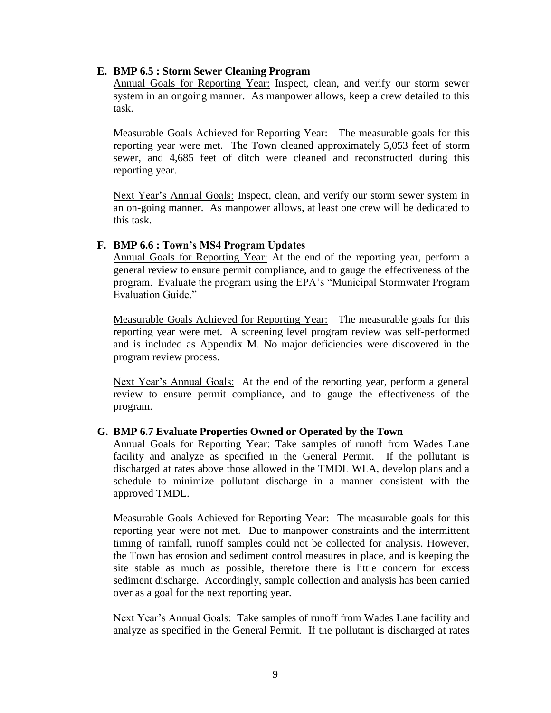### **E. BMP 6.5 : Storm Sewer Cleaning Program**

Annual Goals for Reporting Year: Inspect, clean, and verify our storm sewer system in an ongoing manner. As manpower allows, keep a crew detailed to this task.

Measurable Goals Achieved for Reporting Year: The measurable goals for this reporting year were met. The Town cleaned approximately 5,053 feet of storm sewer, and 4,685 feet of ditch were cleaned and reconstructed during this reporting year.

Next Year's Annual Goals: Inspect, clean, and verify our storm sewer system in an on-going manner. As manpower allows, at least one crew will be dedicated to this task.

### **F. BMP 6.6 : Town's MS4 Program Updates**

Annual Goals for Reporting Year: At the end of the reporting year, perform a general review to ensure permit compliance, and to gauge the effectiveness of the program. Evaluate the program using the EPA's "Municipal Stormwater Program Evaluation Guide."

Measurable Goals Achieved for Reporting Year: The measurable goals for this reporting year were met. A screening level program review was self-performed and is included as Appendix M. No major deficiencies were discovered in the program review process.

Next Year's Annual Goals: At the end of the reporting year, perform a general review to ensure permit compliance, and to gauge the effectiveness of the program.

### **G. BMP 6.7 Evaluate Properties Owned or Operated by the Town**

Annual Goals for Reporting Year: Take samples of runoff from Wades Lane facility and analyze as specified in the General Permit. If the pollutant is discharged at rates above those allowed in the TMDL WLA, develop plans and a schedule to minimize pollutant discharge in a manner consistent with the approved TMDL.

Measurable Goals Achieved for Reporting Year: The measurable goals for this reporting year were not met. Due to manpower constraints and the intermittent timing of rainfall, runoff samples could not be collected for analysis. However, the Town has erosion and sediment control measures in place, and is keeping the site stable as much as possible, therefore there is little concern for excess sediment discharge. Accordingly, sample collection and analysis has been carried over as a goal for the next reporting year.

Next Year's Annual Goals: Take samples of runoff from Wades Lane facility and analyze as specified in the General Permit. If the pollutant is discharged at rates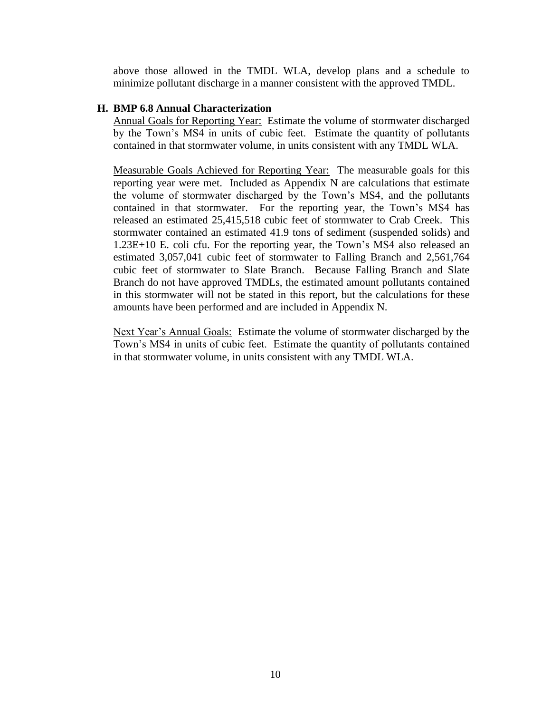above those allowed in the TMDL WLA, develop plans and a schedule to minimize pollutant discharge in a manner consistent with the approved TMDL.

### **H. BMP 6.8 Annual Characterization**

Annual Goals for Reporting Year: Estimate the volume of stormwater discharged by the Town's MS4 in units of cubic feet. Estimate the quantity of pollutants contained in that stormwater volume, in units consistent with any TMDL WLA.

Measurable Goals Achieved for Reporting Year: The measurable goals for this reporting year were met. Included as Appendix N are calculations that estimate the volume of stormwater discharged by the Town's MS4, and the pollutants contained in that stormwater. For the reporting year, the Town's MS4 has released an estimated 25,415,518 cubic feet of stormwater to Crab Creek. This stormwater contained an estimated 41.9 tons of sediment (suspended solids) and 1.23E+10 E. coli cfu. For the reporting year, the Town's MS4 also released an estimated 3,057,041 cubic feet of stormwater to Falling Branch and 2,561,764 cubic feet of stormwater to Slate Branch. Because Falling Branch and Slate Branch do not have approved TMDLs, the estimated amount pollutants contained in this stormwater will not be stated in this report, but the calculations for these amounts have been performed and are included in Appendix N.

Next Year's Annual Goals: Estimate the volume of stormwater discharged by the Town's MS4 in units of cubic feet. Estimate the quantity of pollutants contained in that stormwater volume, in units consistent with any TMDL WLA.